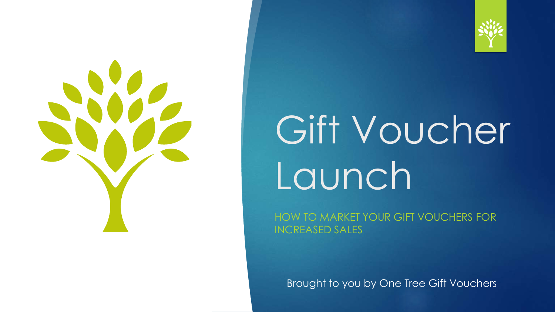



# Gift Voucher Launch

HOW TO MARKET YOUR GIFT VOUCHERS FOR INCREASED SALES

Brought to you by One Tree Gift Vouchers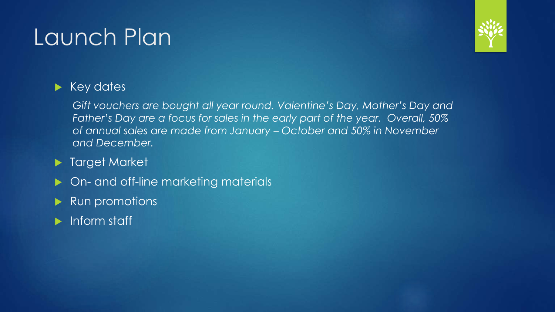## Launch Plan



### $\blacktriangleright$  Key dates

*Gift vouchers are bought all year round. Valentine's Day, Mother's Day and Father's Day are a focus for sales in the early part of the year. Overall, 50% of annual sales are made from January – October and 50% in November and December.*

### **Target Market**

- ▶ On- and off-line marketing materials
- Run promotions
- **Inform staff**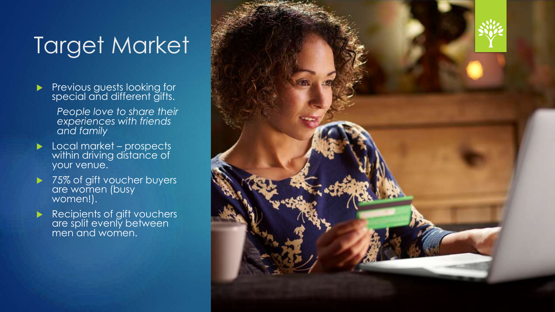## Target Market

- Previous guests looking for special and different gifts.
	- *People love to share their experiences with friends and family*
- **Local market prospects** within driving distance of your venue.
- ▶ 75% of gift voucher buyers are women (busy women!).
- Recipients of gift vouchers are split evenly between men and women.

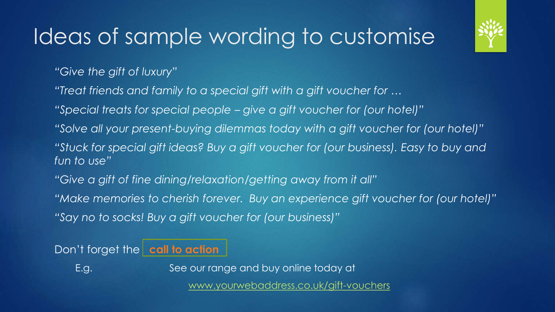### Ideas of sample wording to customise

*"Give the gift of luxury"*

- *"Treat friends and family to a special gift with a gift voucher for …*
- *"Special treats for special people – give a gift voucher for (our hotel)"*
- *"Solve all your present-buying dilemmas today with a gift voucher for (our hotel)"*
- *"Stuck for special gift ideas? Buy a gift voucher for (our business). Easy to buy and fun to use"*
- *"Give a gift of fine dining/relaxation/getting away from it all"*
- *"Make memories to cherish forever. Buy an experience gift voucher for (our hotel)"*
- *"Say no to socks! Buy a gift voucher for (our business)"*

### Don't forget the **call to action**

E.g. See our range and buy online today at

[www.yourwebaddress.co.uk/gift-vouchers](http://www.yourwebaddress.co.uk/gift-vouchers)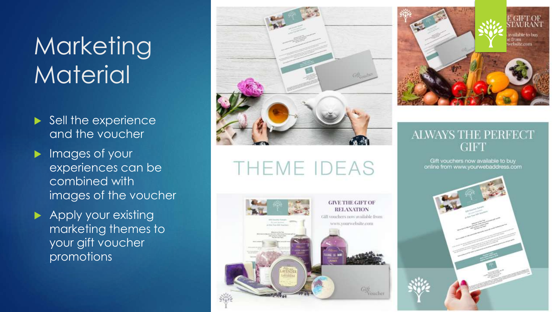## **Marketing Material**

- $\blacktriangleright$  Sell the experience and the voucher
- **Images of your** experiences can be combined with images of the voucher
- **Apply your existing** marketing themes to your gift voucher promotions



THEME IDEAS





### **ALWAYS THE PERFECT GIFT**

Gift vouchers now available to buy online from www.yourwebaddress.com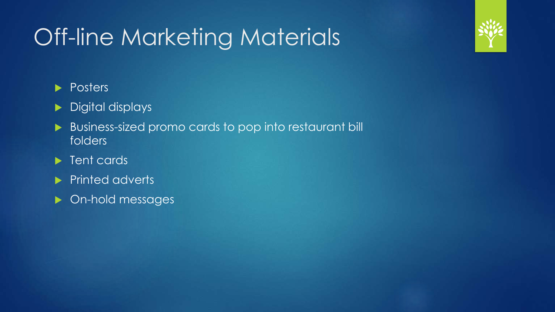## Off-line Marketing Materials



### **Posters**

### Digital displays

- Business-sized promo cards to pop into restaurant bill folders
- **F** Tent cards
- Printed adverts
- **Demole Manufature Designal**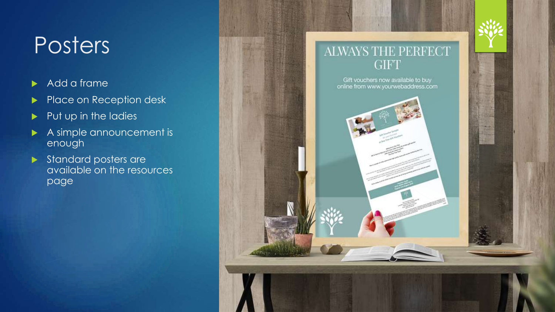## **Posters**

- Add a frame
- Place on Reception desk
- $\blacktriangleright$  Put up in the ladies
- A simple announcement is enough
- Standard posters are available on the resources page

### ALWAYS THE PERFECT **GIFT**

Gift vouchers now available to buy online from www.yourwebaddress.com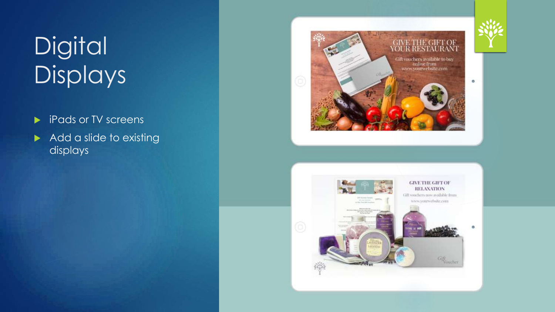## **Digital** Displays

- **F** iPads or TV screens
- Add a slide to existing displays





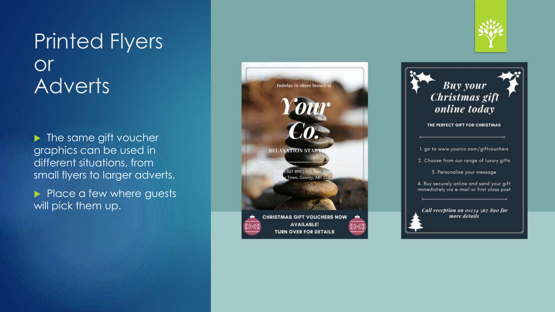### Printed Flyers or **Adverts**

Ine same gift voucher graphics can be used in different situations, from small flyers to larger adverts.

Place a few where guests will pick them up.





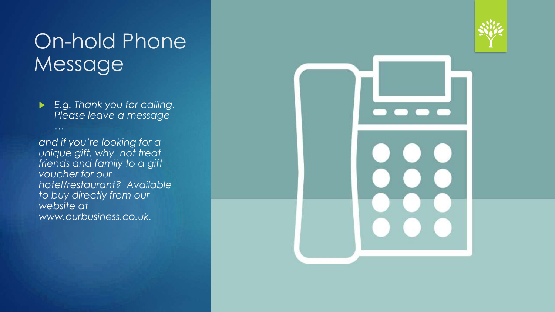### On-hold Phone Message

 *E.g. Thank you for calling. Please leave a message* 

*…* 

*and if you're looking for a unique gift, why not treat friends and family to a gift voucher for our hotel/restaurant? Available to buy directly from our website at www.ourbusiness.co.uk.*



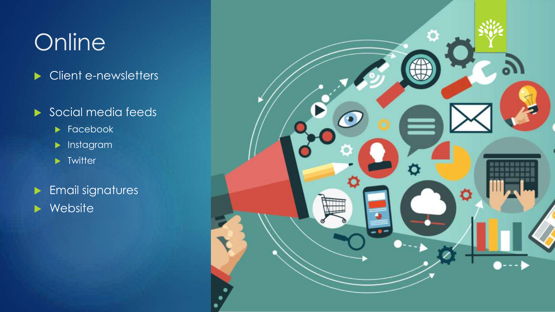## **Online**

- Client e-newsletters
- Social media feeds
	- $\blacktriangleright$  Facebook
	- $\blacktriangleright$  Instagram
	- $\blacktriangleright$  Twitter
- **Email signatures** Website

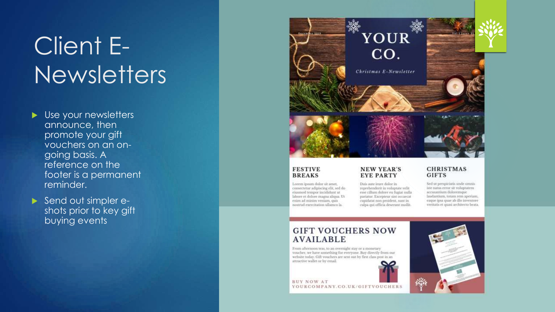## Client E-**Newsletters**

- Use your newsletters announce, then promote your gift vouchers on an ongoing basis. A reference on the footer is a permanent reminder.
- Send out simpler eshots prior to key gift buying events



#### **FESTIVE BREAKS**

Lorem ipsum dolor sit amet, consectetur adipiscing elit, sed do eiusmod tempor incididunt ut labore et dolore magna aliqua. Ut enim ad minim veniam, quis nostrud exercitation ullamco la.

#### **NEW YEAR'S EYE PARTY**

Duis aute irure dolor in reprehenderit in voluptate velit esse cillum dolore eu fugiat nulla pariatur. Excepteur sint occaecit cupidatat non proident, sunt in culpa qui officia deserunt mollit.

#### **CHRISTMAS GIFTS**

Sed ut perspiciatis unde omnis iste natus error sit voluptatem accusantium doloremque laudantium, totam rem aperiam, eaque ipsa quae ab illo inventore veritatis et quasi architecto beata.

#### **GIFT VOUCHERS NOW AVAILABLE**

From afternoon teas, to an overnight stay or a monetary voucher, we have something for everyone. Buy directly from our website today. Gift youchers are sent out by first class post in an attractive wallet or by email.

**BUY NOW AT** YOURCOMPANY.CO.UK/GIFTVOUCHERS

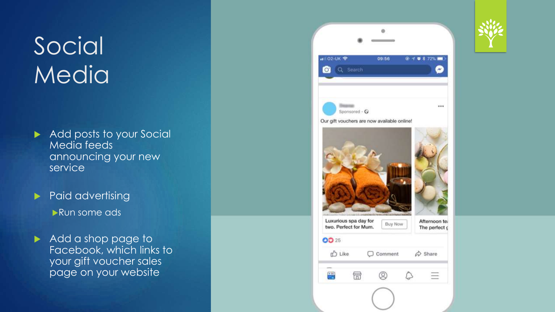## Social **Media**

Add posts to your Social Media feeds announcing your new service

Paid advertising Run some ads

Add a shop page to Facebook, which links to your gift voucher sales page on your website

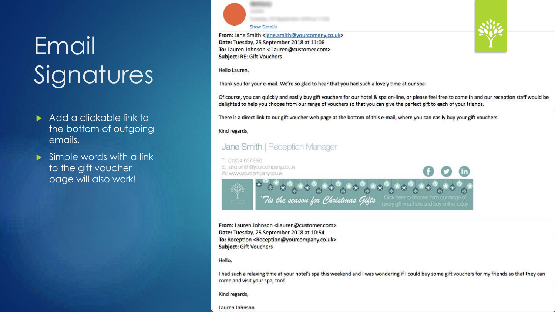## Email **Signatures**

- Add a clickable link to the bottom of outgoing emails.
- $\triangleright$  Simple words with a link to the gift voucher page will also work!

**Show Details** 

From: Jane Smith <jane.smith@yourcomany.co.uk> Date: Tuesday, 25 September 2018 at 11:06 To: Lauren Johnson < Lauren@customer.com> Subject: RE: Gift Vouchers

#### Hello Lauren.

Thank you for your e-mail. We're so glad to hear that you had such a lovely time at our spa!

Of course, you can quickly and easily buy gift vouchers for our hotel & spa on-line, or please feel free to come in and our reception staff would be delighted to help you choose from our range of vouchers so that you can give the perfect gift to each of your friends.

There is a direct link to our gift voucher web page at the bottom of this e-mail, where you can easily buy your gift vouchers.

#### Kind regards,

#### Jane Smith | Reception Manager

T: 01234 657 890 E: jane.smith@yourcompany.co.uk W: www.yourcompany.co.uk



From: Lauren Johnson <Lauren@customer.com> Date: Tuesday, 25 September 2018 at 10:54 To: Reception <Reception@yourcompany.co.uk> Subject: Gift Vouchers

Hello,

I had such a relaxing time at your hotel's spa this weekend and I was wondering if I could buy some gift vouchers for my friends so that they can come and visit your spa, too!

Kind regards,

Lauren Johnson

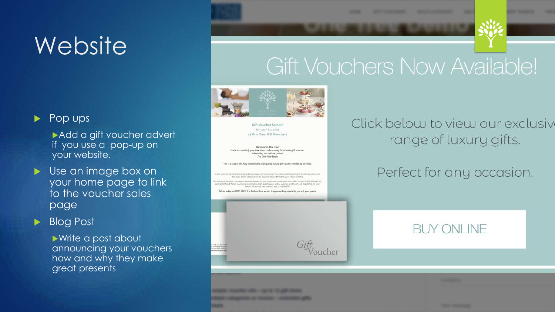## Website<sup>'</sup>

 $\blacktriangleright$  Pop ups

Add a gift voucher advert if you use a pop-up on your website.

**D** Use an image box on your home page to link to the voucher sales page

### Blog Post

Write a post about announcing your vouchers how and why they make great presents

## **Gift Vouchers Now Available!**



Gift Voucher Sample for your business at One Tree Gift Vouchers

Welcome to One Tree. We're here to help you saye time, make money & increase all youcher sales using our unique system The One Tree Team

This is a sample of a fully customisable high quality, fuxury gift voucher fulfilled by One Tre

we solid blocks of colour can be adjusted to weetly match your colour sch

or con mone a liespole header for you, or you can supply your man. Alt of the text is fully aditable fully each gift offered. Postal vocatives are printed on high quality paper with a superior print finish and dispetched on y

Call us today on 01761 472911 to find out boor we can bring something special to you and y



### Click below to view our exclusive range of luxury gifts.

### Perfect for any occasion.

### **BUY ONLINE**

| a sa mana ana amin'ny fivondronan-kaominin'i Communication ao amin'ny faritr'i Nouvelle-Aquitaine, ao Frantsa.<br>Ny INSEE dia mampiasa ny kaodim-paositra 2008–2014. Ilay kaominina dia kaominina mpikambana amin'ny fivondronan |  |
|-----------------------------------------------------------------------------------------------------------------------------------------------------------------------------------------------------------------------------------|--|
|                                                                                                                                                                                                                                   |  |
|                                                                                                                                                                                                                                   |  |
|                                                                                                                                                                                                                                   |  |
|                                                                                                                                                                                                                                   |  |
|                                                                                                                                                                                                                                   |  |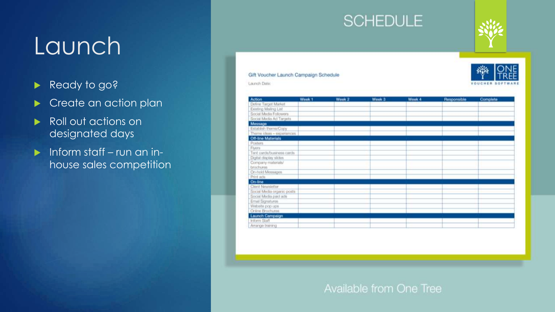## Launch

- Ready to go?
- Create an action plan
- Roll out actions on designated days
- $\blacktriangleright$  Inform staff run an inhouse sales competition

### **SCHEDULE**



Gift Voucher Launch Campaign Schedule Launch Date:

| Action                     | Week <sub>1</sub> | Week <sub>2</sub> | Week <sub>3</sub> | Week 4 | Responsible | Complete |
|----------------------------|-------------------|-------------------|-------------------|--------|-------------|----------|
| Define Target Market       |                   |                   |                   |        |             |          |
| Existing Mailing List      |                   |                   |                   |        |             |          |
| Social Media Followers     |                   |                   |                   |        |             |          |
| Social Media Ad Targets    |                   |                   |                   |        |             |          |
| Message                    |                   |                   |                   |        |             |          |
| Entablish thems/Copy       |                   |                   |                   |        |             |          |
| Theme ideas - experiences  |                   |                   |                   |        |             |          |
| <b>Off-line Materials</b>  |                   |                   |                   |        |             |          |
| Posters                    |                   |                   |                   |        |             |          |
| Flyers                     |                   |                   |                   |        |             |          |
| Tent asnis/busness cards   |                   |                   |                   |        |             |          |
| Digital display slides     |                   |                   |                   |        |             |          |
| Company materials/         |                   |                   |                   |        |             |          |
| brochures.                 |                   |                   |                   |        |             |          |
| On-hold Messages           |                   |                   |                   |        |             |          |
| Print acts                 |                   |                   |                   |        |             |          |
| On-line                    |                   |                   |                   |        |             |          |
| Client Newsletter          |                   |                   |                   |        |             |          |
| Social Media organic posts |                   |                   |                   |        |             |          |
| Social Media paid ads      |                   |                   |                   |        |             |          |
| Email Signistures          |                   |                   |                   |        |             |          |
| Website pop ups            |                   |                   |                   |        |             |          |
| Online Brochures           |                   |                   |                   |        |             |          |
| <b>Launch Campaign</b>     |                   |                   |                   |        |             |          |
| Inform Staff               |                   |                   |                   |        |             |          |
| Amange training            |                   |                   |                   |        |             |          |

### Available from One Tree